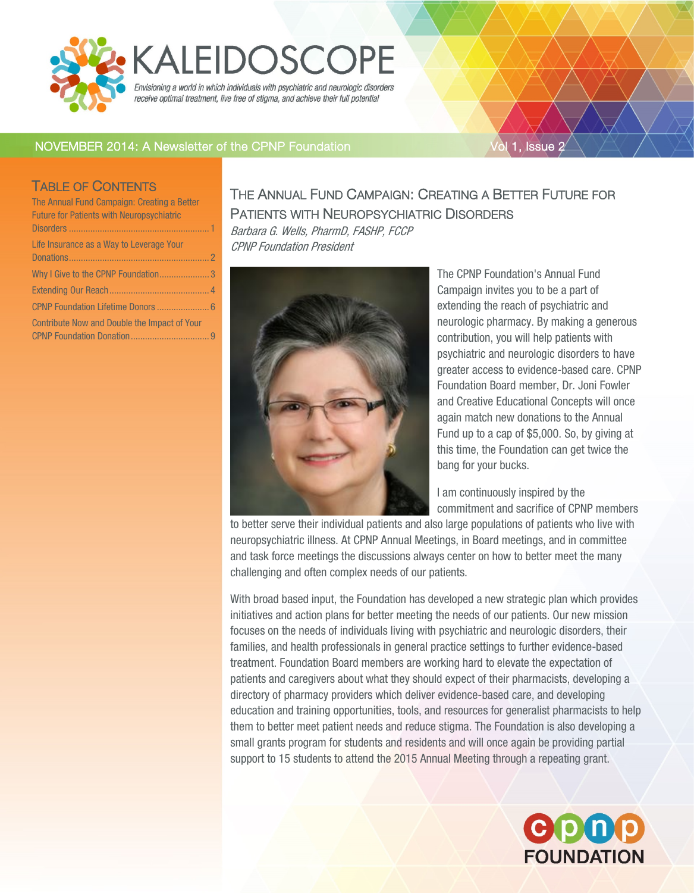<span id="page-0-0"></span>

# **KALEIDOSCOPE**

Envisioning a world in which individuals with psychiatric and neurologic disorders receive optimal treatment, live free of stigma, and achieve their full potential

### NOVEMBER 2014: A Newsletter of the CPNP Foundation Vol 1, Issue 2

#### TABLE OF CONTENTS

| The Annual Fund Campaign: Creating a Better      |  |
|--------------------------------------------------|--|
| <b>Future for Patients with Neuropsychiatric</b> |  |
|                                                  |  |
| Life Insurance as a Way to Leverage Your         |  |
|                                                  |  |
| Why I Give to the CPNP Foundation3               |  |
|                                                  |  |
| CPNP Foundation Lifetime Donors  6               |  |
| Contribute Now and Double the Impact of Your     |  |
|                                                  |  |

## THE ANNUAL FUND CAMPAIGN: CREATING A BETTER FUTURE FOR PATIENTS WITH NEUROPSYCHIATRIC DISORDERS

Barbara G. Wells, PharmD, FASHP, FCCP CPNP Foundation President



The CPNP Foundation's Annual Fund Campaign invites you to be a part of extending the reach of psychiatric and neurologic pharmacy. By making a generous contribution, you will help patients with psychiatric and neurologic disorders to have greater access to evidence-based care. CPNP Foundation Board member, Dr. Joni Fowler and Creative Educational Concepts will once again match new donations to the Annual Fund up to a cap of \$5,000. So, by giving at this time, the Foundation can get twice the bang for your bucks.

I am continuously inspired by the commitment and sacrifice of CPNP members

to better serve their individual patients and also large populations of patients who live with neuropsychiatric illness. At CPNP Annual Meetings, in Board meetings, and in committee and task force meetings the discussions always center on how to better meet the many challenging and often complex needs of our patients.

With broad based input, the Foundation has developed a new strategic plan which provides initiatives and action plans for better meeting the needs of our patients. Our new mission focuses on the needs of individuals living with psychiatric and neurologic disorders, their families, and health professionals in general practice settings to further evidence-based treatment. Foundation Board members are working hard to elevate the expectation of patients and caregivers about what they should expect of their pharmacists, developing a directory of pharmacy providers which deliver evidence-based care, and developing education and training opportunities, tools, and resources for generalist pharmacists to help them to better meet patient needs and reduce stigma. The Foundation is also developing a small grants program for students and residents and will once again be providing partial support to 15 students to attend the 2015 Annual Meeting through a repeating grant.

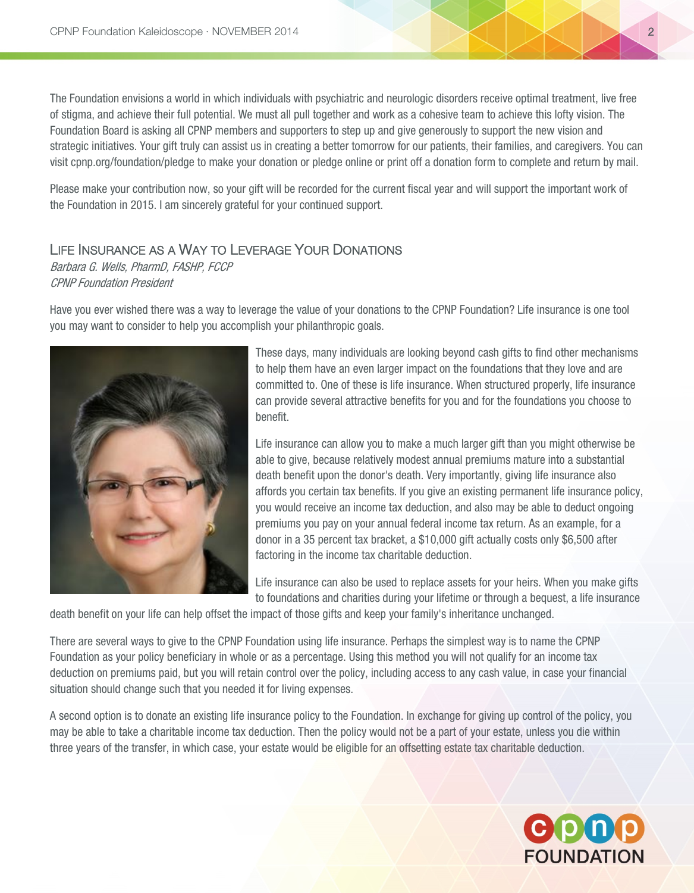The Foundation envisions a world in which individuals with psychiatric and neurologic disorders receive optimal treatment, live free of stigma, and achieve their full potential. We must all pull together and work as a cohesive team to achieve this lofty vision. The Foundation Board is asking all CPNP members and supporters to step up and give generously to support the new vision and strategic initiatives. Your gift truly can assist us in creating a better tomorrow for our patients, their families, and caregivers. You can visit cpnp.org/foundation/pledge to make your donation or pledge online or print off a donation form to complete and return by mail.

Please make your contribution now, so your gift will be recorded for the current fiscal year and will support the important work of the Foundation in 2015. I am sincerely grateful for your continued support.

#### <span id="page-1-0"></span>LIFE INSURANCE AS A WAY TO LEVERAGE YOUR DONATIONS

Barbara G. Wells, PharmD, FASHP, FCCP CPNP Foundation President

Have you ever wished there was a way to leverage the value of your donations to the CPNP Foundation? Life insurance is one tool you may want to consider to help you accomplish your philanthropic goals.



These days, many individuals are looking beyond cash gifts to find other mechanisms to help them have an even larger impact on the foundations that they love and are committed to. One of these is life insurance. When structured properly, life insurance can provide several attractive benefits for you and for the foundations you choose to benefit.

Life insurance can allow you to make a much larger gift than you might otherwise be able to give, because relatively modest annual premiums mature into a substantial death benefit upon the donor's death. Very importantly, giving life insurance also affords you certain tax benefits. If you give an existing permanent life insurance policy, you would receive an income tax deduction, and also may be able to deduct ongoing premiums you pay on your annual federal income tax return. As an example, for a donor in a 35 percent tax bracket, a \$10,000 gift actually costs only \$6,500 after factoring in the income tax charitable deduction.

Life insurance can also be used to replace assets for your heirs. When you make gifts to foundations and charities during your lifetime or through a bequest, a life insurance

death benefit on your life can help offset the impact of those gifts and keep your family's inheritance unchanged.

There are several ways to give to the CPNP Foundation using life insurance. Perhaps the simplest way is to name the CPNP Foundation as your policy beneficiary in whole or as a percentage. Using this method you will not qualify for an income tax deduction on premiums paid, but you will retain control over the policy, including access to any cash value, in case your financial situation should change such that you needed it for living expenses.

A second option is to donate an existing life insurance policy to the Foundation. In exchange for giving up control of the policy, you may be able to take a charitable income tax deduction. Then the policy would not be a part of your estate, unless you die within three years of the transfer, in which case, your estate would be eligible for an offsetting estate tax charitable deduction.

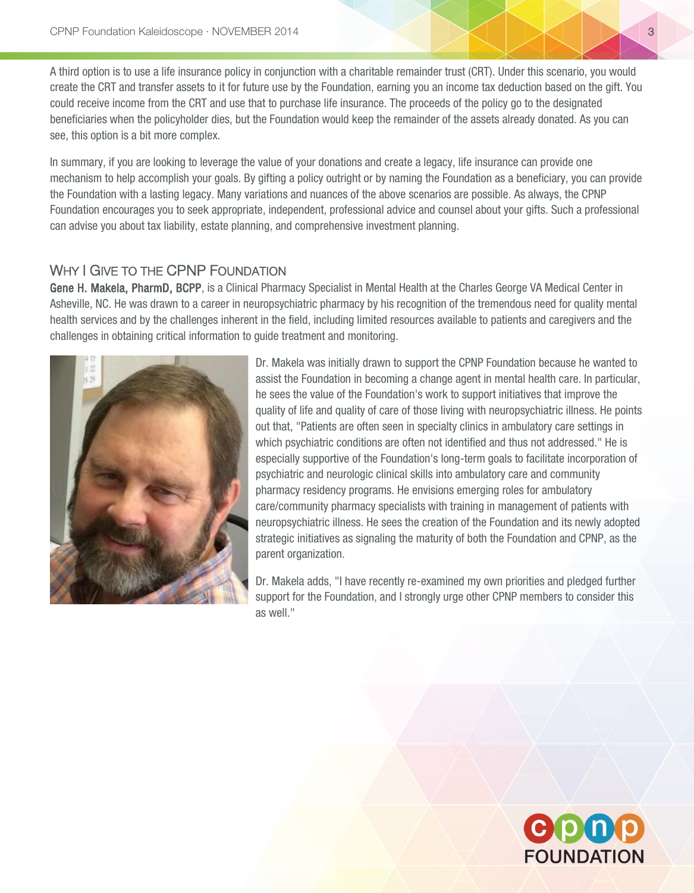A third option is to use a life insurance policy in conjunction with a charitable remainder trust (CRT). Under this scenario, you would create the CRT and transfer assets to it for future use by the Foundation, earning you an income tax deduction based on the gift. You could receive income from the CRT and use that to purchase life insurance. The proceeds of the policy go to the designated beneficiaries when the policyholder dies, but the Foundation would keep the remainder of the assets already donated. As you can see, this option is a bit more complex.

In summary, if you are looking to leverage the value of your donations and create a legacy, life insurance can provide one mechanism to help accomplish your goals. By gifting a policy outright or by naming the Foundation as a beneficiary, you can provide the Foundation with a lasting legacy. Many variations and nuances of the above scenarios are possible. As always, the CPNP Foundation encourages you to seek appropriate, independent, professional advice and counsel about your gifts. Such a professional can advise you about tax liability, estate planning, and comprehensive investment planning.

#### <span id="page-2-0"></span>WHY I GIVE TO THE CPNP FOUNDATION

Gene H. Makela, PharmD, BCPP, is a Clinical Pharmacy Specialist in Mental Health at the Charles George VA Medical Center in Asheville, NC. He was drawn to a career in neuropsychiatric pharmacy by his recognition of the tremendous need for quality mental health services and by the challenges inherent in the field, including limited resources available to patients and caregivers and the challenges in obtaining critical information to guide treatment and monitoring.



Dr. Makela was initially drawn to support the CPNP Foundation because he wanted to assist the Foundation in becoming a change agent in mental health care. In particular, he sees the value of the Foundation's work to support initiatives that improve the quality of life and quality of care of those living with neuropsychiatric illness. He points out that, "Patients are often seen in specialty clinics in ambulatory care settings in which psychiatric conditions are often not identified and thus not addressed." He is especially supportive of the Foundation's long-term goals to facilitate incorporation of psychiatric and neurologic clinical skills into ambulatory care and community pharmacy residency programs. He envisions emerging roles for ambulatory care/community pharmacy specialists with training in management of patients with neuropsychiatric illness. He sees the creation of the Foundation and its newly adopted strategic initiatives as signaling the maturity of both the Foundation and CPNP, as the parent organization.

Dr. Makela adds, "I have recently re-examined my own priorities and pledged further support for the Foundation, and I strongly urge other CPNP members to consider this as well."

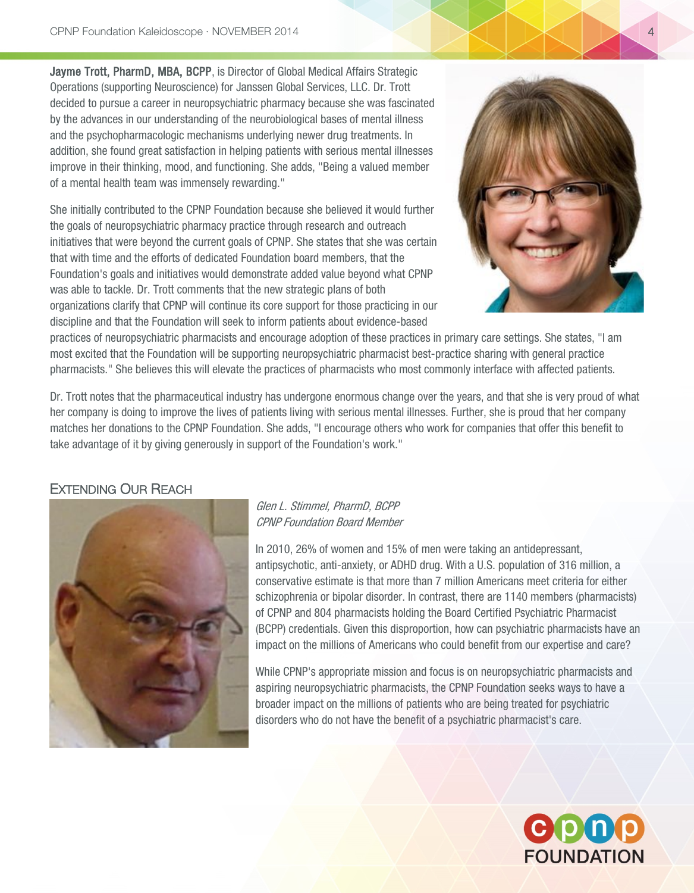Jayme Trott, PharmD, MBA, BCPP, is Director of Global Medical Affairs Strategic Operations (supporting Neuroscience) for Janssen Global Services, LLC. Dr. Trott decided to pursue a career in neuropsychiatric pharmacy because she was fascinated by the advances in our understanding of the neurobiological bases of mental illness and the psychopharmacologic mechanisms underlying newer drug treatments. In addition, she found great satisfaction in helping patients with serious mental illnesses improve in their thinking, mood, and functioning. She adds, "Being a valued member of a mental health team was immensely rewarding."

She initially contributed to the CPNP Foundation because she believed it would further the goals of neuropsychiatric pharmacy practice through research and outreach initiatives that were beyond the current goals of CPNP. She states that she was certain that with time and the efforts of dedicated Foundation board members, that the Foundation's goals and initiatives would demonstrate added value beyond what CPNP was able to tackle. Dr. Trott comments that the new strategic plans of both organizations clarify that CPNP will continue its core support for those practicing in our discipline and that the Foundation will seek to inform patients about evidence-based



practices of neuropsychiatric pharmacists and encourage adoption of these practices in primary care settings. She states, "I am most excited that the Foundation will be supporting neuropsychiatric pharmacist best-practice sharing with general practice pharmacists." She believes this will elevate the practices of pharmacists who most commonly interface with affected patients.

Dr. Trott notes that the pharmaceutical industry has undergone enormous change over the years, and that she is very proud of what her company is doing to improve the lives of patients living with serious mental illnesses. Further, she is proud that her company matches her donations to the CPNP Foundation. She adds, "I encourage others who work for companies that offer this benefit to take advantage of it by giving generously in support of the Foundation's work."

#### <span id="page-3-0"></span>EXTENDING OUR REACH



Glen L. Stimmel, PharmD, BCPP CPNP Foundation Board Member

In 2010, 26% of women and 15% of men were taking an antidepressant, antipsychotic, anti-anxiety, or ADHD drug. With a U.S. population of 316 million, a conservative estimate is that more than 7 million Americans meet criteria for either schizophrenia or bipolar disorder. In contrast, there are 1140 members (pharmacists) of CPNP and 804 pharmacists holding the Board Certified Psychiatric Pharmacist (BCPP) credentials. Given this disproportion, how can psychiatric pharmacists have an impact on the millions of Americans who could benefit from our expertise and care?

While CPNP's appropriate mission and focus is on neuropsychiatric pharmacists and aspiring neuropsychiatric pharmacists, the CPNP Foundation seeks ways to have a broader impact on the millions of patients who are being treated for psychiatric disorders who do not have the benefit of a psychiatric pharmacist's care.

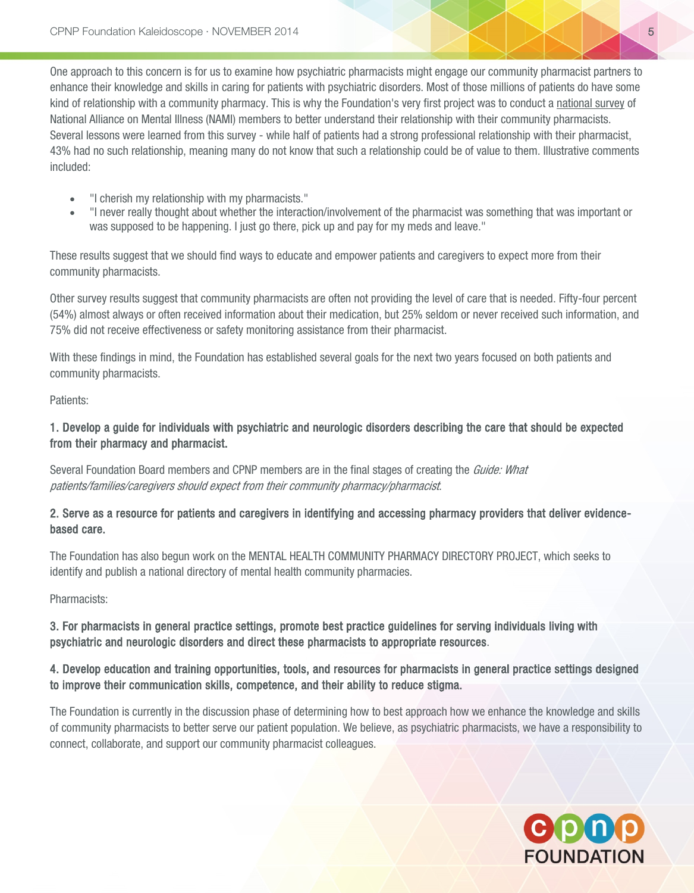One approach to this concern is for us to examine how psychiatric pharmacists might engage our community pharmacist partners to enhance their knowledge and skills in caring for patients with psychiatric disorders. Most of those millions of patients do have some kind of relationship with a community pharmacy. This is why the Foundation's very first project was to conduct a [national survey](http://cpnp.org/_docs/foundation/2012/nami-survey-report.pdf) of National Alliance on Mental Illness (NAMI) members to better understand their relationship with their community pharmacists. Several lessons were learned from this survey - while half of patients had a strong professional relationship with their pharmacist, 43% had no such relationship, meaning many do not know that such a relationship could be of value to them. Illustrative comments included:

- "I cherish my relationship with my pharmacists."
- "I never really thought about whether the interaction/involvement of the pharmacist was something that was important or was supposed to be happening. I just go there, pick up and pay for my meds and leave."

These results suggest that we should find ways to educate and empower patients and caregivers to expect more from their community pharmacists.

Other survey results suggest that community pharmacists are often not providing the level of care that is needed. Fifty-four percent (54%) almost always or often received information about their medication, but 25% seldom or never received such information, and 75% did not receive effectiveness or safety monitoring assistance from their pharmacist.

With these findings in mind, the Foundation has established several goals for the next two years focused on both patients and community pharmacists.

Patients:

#### 1. Develop a guide for individuals with psychiatric and neurologic disorders describing the care that should be expected from their pharmacy and pharmacist.

Several Foundation Board members and CPNP members are in the final stages of creating the *Guide: What* patients/families/caregivers should expect from their community pharmacy/pharmacist.

#### 2. Serve as a resource for patients and caregivers in identifying and accessing pharmacy providers that deliver evidencebased care.

The Foundation has also begun work on the MENTAL HEALTH COMMUNITY PHARMACY DIRECTORY PROJECT, which seeks to identify and publish a national directory of mental health community pharmacies.

Pharmacists:

#### 3. For pharmacists in general practice settings, promote best practice guidelines for serving individuals living with psychiatric and neurologic disorders and direct these pharmacists to appropriate resources.

#### 4. Develop education and training opportunities, tools, and resources for pharmacists in general practice settings designed to improve their communication skills, competence, and their ability to reduce stigma.

The Foundation is currently in the discussion phase of determining how to best approach how we enhance the knowledge and skills of community pharmacists to better serve our patient population. We believe, as psychiatric pharmacists, we have a responsibility to connect, collaborate, and support our community pharmacist colleagues.

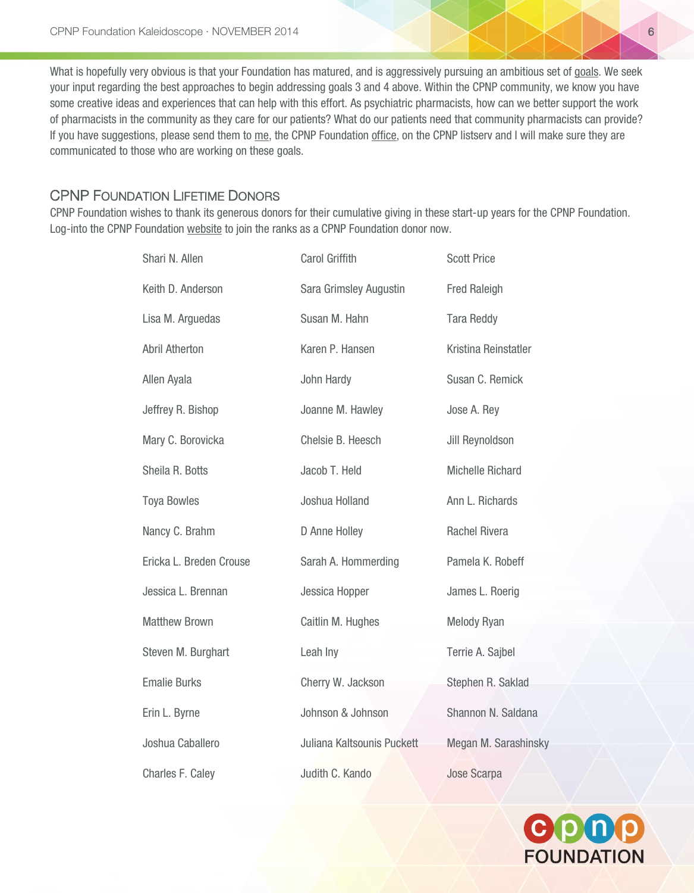What is hopefully very obvious is that your Foundation has matured, and is aggressively pursuing an ambitious set o[f goals.](http://cpnp.org/foundation/strategic-plan) We seek your input regarding the best approaches to begin addressing goals 3 and 4 above. Within the CPNP community, we know you have some creative ideas and experiences that can help with this effort. As psychiatric pharmacists, how can we better support the work of pharmacists in the community as they care for our patients? What do our patients need that community pharmacists can provide? If you have suggestions, please send them to [me,](mailto:stimmel@usc.edu) the CPNP Foundation [office,](mailto:info@cpnpfoundation.org) on the CPNP listserv and I will make sure they are communicated to those who are working on these goals.

#### <span id="page-5-0"></span>CPNP FOUNDATION LIFETIME DONORS

CPNP Foundation wishes to thank its generous donors for their cumulative giving in these start-up years for the CPNP Foundation. Log-into the CPNP Foundation [website](http://cpnp.org/foundation/pledge) to join the ranks as a CPNP Foundation donor now.

| Shari N. Allen          | Carol Griffith             | <b>Scott Price</b>      |
|-------------------------|----------------------------|-------------------------|
| Keith D. Anderson       | Sara Grimsley Augustin     | <b>Fred Raleigh</b>     |
| Lisa M. Arguedas        | Susan M. Hahn              | <b>Tara Reddy</b>       |
| <b>Abril Atherton</b>   | Karen P. Hansen            | Kristina Reinstatler    |
| Allen Ayala             | John Hardy                 | Susan C. Remick         |
| Jeffrey R. Bishop       | Joanne M. Hawley           | Jose A. Rey             |
| Mary C. Borovicka       | Chelsie B. Heesch          | Jill Reynoldson         |
| Sheila R. Botts         | Jacob T. Held              | <b>Michelle Richard</b> |
| <b>Toya Bowles</b>      | Joshua Holland             | Ann L. Richards         |
| Nancy C. Brahm          | D Anne Holley              | <b>Rachel Rivera</b>    |
| Ericka L. Breden Crouse | Sarah A. Hommerding        | Pamela K. Robeff        |
| Jessica L. Brennan      | Jessica Hopper             | James L. Roerig         |
| <b>Matthew Brown</b>    | Caitlin M. Hughes          | <b>Melody Ryan</b>      |
| Steven M. Burghart      | Leah Iny                   | Terrie A. Sajbel        |
| <b>Emalie Burks</b>     | Cherry W. Jackson          | Stephen R. Saklad       |
| Erin L. Byrne           | Johnson & Johnson          | Shannon N. Saldana      |
| Joshua Caballero        | Juliana Kaltsounis Puckett | Megan M. Sarashinsky    |
| Charles F. Caley        | Judith C. Kando            | <b>Jose Scarpa</b>      |

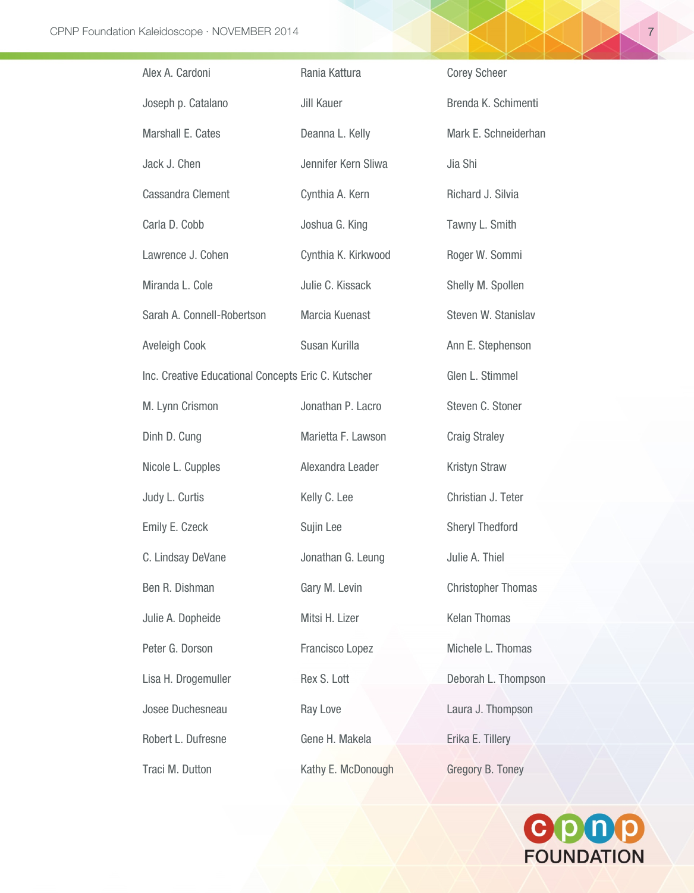| Alex A. Cardoni                                     | Rania Kattura       | <b>Corey Scheer</b>       |
|-----------------------------------------------------|---------------------|---------------------------|
| Joseph p. Catalano                                  | Jill Kauer          | Brenda K. Schimenti       |
| Marshall E. Cates                                   | Deanna L. Kelly     | Mark E. Schneiderhan      |
| Jack J. Chen                                        | Jennifer Kern Sliwa | Jia Shi                   |
| Cassandra Clement                                   | Cynthia A. Kern     | Richard J. Silvia         |
| Carla D. Cobb                                       | Joshua G. King      | Tawny L. Smith            |
| Lawrence J. Cohen                                   | Cynthia K. Kirkwood | Roger W. Sommi            |
| Miranda L. Cole                                     | Julie C. Kissack    | Shelly M. Spollen         |
| Sarah A. Connell-Robertson                          | Marcia Kuenast      | Steven W. Stanislav       |
| <b>Aveleigh Cook</b>                                | Susan Kurilla       | Ann E. Stephenson         |
| Inc. Creative Educational Concepts Eric C. Kutscher |                     | Glen L. Stimmel           |
| M. Lynn Crismon                                     | Jonathan P. Lacro   | Steven C. Stoner          |
| Dinh D. Cung                                        | Marietta F. Lawson  | <b>Craig Straley</b>      |
| Nicole L. Cupples                                   | Alexandra Leader    | <b>Kristyn Straw</b>      |
| Judy L. Curtis                                      | Kelly C. Lee        | Christian J. Teter        |
| Emily E. Czeck                                      | Sujin Lee           | <b>Sheryl Thedford</b>    |
| C. Lindsay DeVane                                   | Jonathan G. Leung   | Julie A. Thiel            |
| Ben R. Dishman                                      | Gary M. Levin       | <b>Christopher Thomas</b> |
| Julie A. Dopheide                                   | Mitsi H. Lizer      | <b>Kelan Thomas</b>       |
| Peter G. Dorson                                     | Francisco Lopez     | Michele L. Thomas         |
| Lisa H. Drogemuller                                 | Rex S. Lott         | Deborah L. Thompson       |
| Josee Duchesneau                                    | Ray Love            | Laura J. Thompson         |
| Robert L. Dufresne                                  | Gene H. Makela      | Erika E. Tillery          |
| Traci M. Dutton                                     | Kathy E. McDonough  | Gregory B. Toney          |

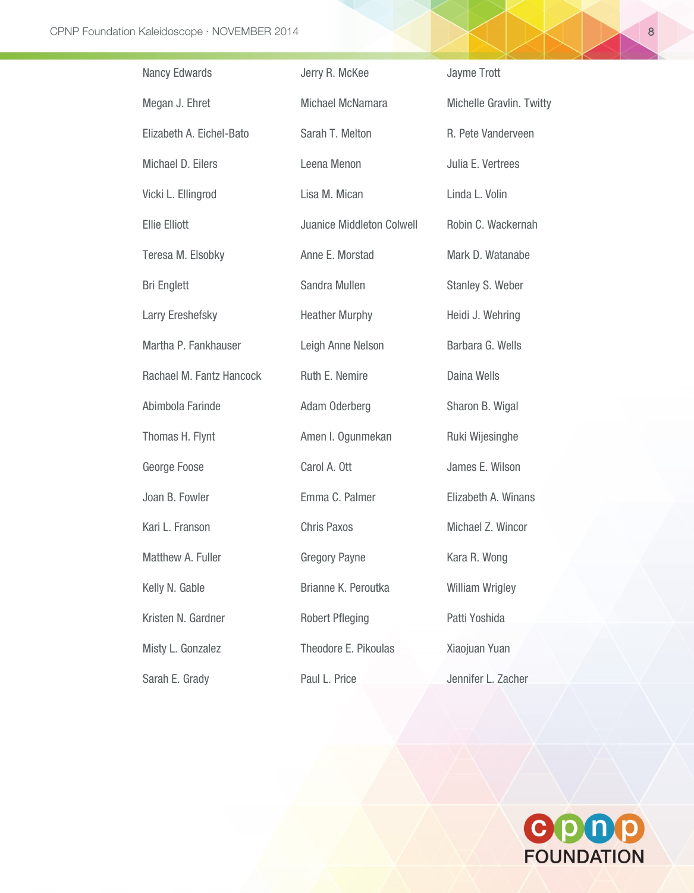| Nancy Edwards            | Jerry R. McKee                   | Jayme Trott              |
|--------------------------|----------------------------------|--------------------------|
| Megan J. Ehret           | Michael McNamara                 | Michelle Gravlin. Twitty |
| Elizabeth A. Eichel-Bato | Sarah T. Melton                  | R. Pete Vanderveen       |
| Michael D. Eilers        | Leena Menon                      | Julia E. Vertrees        |
| Vicki L. Ellingrod       | Lisa M. Mican                    | Linda L. Volin           |
| <b>Ellie Elliott</b>     | <b>Juanice Middleton Colwell</b> | Robin C. Wackernah       |
| Teresa M. Elsobky        | Anne E. Morstad                  | Mark D. Watanabe         |
| <b>Bri Englett</b>       | Sandra Mullen                    | Stanley S. Weber         |
| Larry Ereshefsky         | <b>Heather Murphy</b>            | Heidi J. Wehring         |
| Martha P. Fankhauser     | Leigh Anne Nelson                | Barbara G. Wells         |
| Rachael M. Fantz Hancock | Ruth E. Nemire                   | Daina Wells              |
| Abimbola Farinde         | Adam Oderberg                    | Sharon B. Wigal          |
| Thomas H. Flynt          | Amen I. Ogunmekan                | Ruki Wijesinghe          |
| George Foose             | Carol A. Ott                     | James E. Wilson          |
| Joan B. Fowler           | Emma C. Palmer                   | Elizabeth A. Winans      |
| Kari L. Franson          | <b>Chris Paxos</b>               | Michael Z. Wincor        |
| Matthew A. Fuller        | <b>Gregory Payne</b>             | Kara R. Wong             |
| Kelly N. Gable           | Brianne K. Peroutka              | <b>William Wrigley</b>   |
| Kristen N. Gardner       | <b>Robert Pfleging</b>           | Patti Yoshida            |
| Misty L. Gonzalez        | Theodore E. Pikoulas             | Xiaojuan Yuan            |
| Sarah E. Grady           | Paul L. Price                    | Jennifer L. Zacher       |